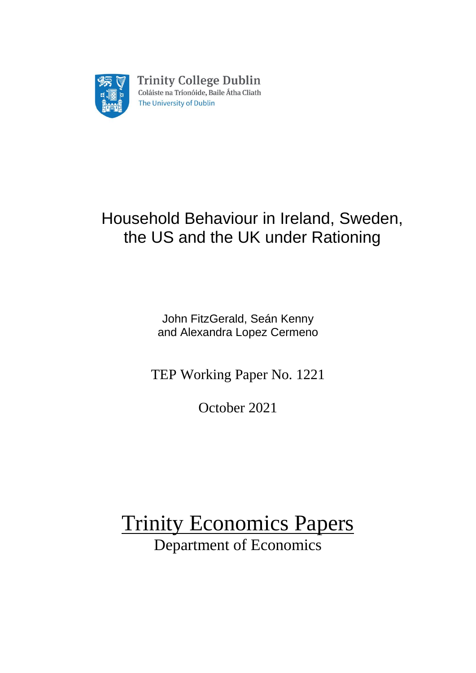

# Household Behaviour in Ireland, Sweden, the US and the UK under Rationing

John FitzGerald, Seán Kenny and Alexandra Lopez Cermeno

TEP Working Paper No. 1221

October 2021

Trinity Economics Papers Department of Economics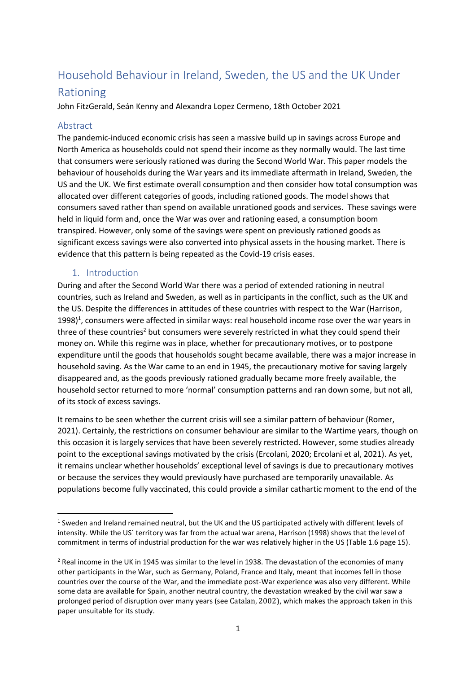# Household Behaviour in Ireland, Sweden, the US and the UK Under

# Rationing

John FitzGerald, Seán Kenny and Alexandra Lopez Cermeno, 18th October 2021

# Abstract

The pandemic-induced economic crisis has seen a massive build up in savings across Europe and North America as households could not spend their income as they normally would. The last time that consumers were seriously rationed was during the Second World War. This paper models the behaviour of households during the War years and its immediate aftermath in Ireland, Sweden, the US and the UK. We first estimate overall consumption and then consider how total consumption was allocated over different categories of goods, including rationed goods. The model shows that consumers saved rather than spend on available unrationed goods and services. These savings were held in liquid form and, once the War was over and rationing eased, a consumption boom transpired. However, only some of the savings were spent on previously rationed goods as significant excess savings were also converted into physical assets in the housing market. There is evidence that this pattern is being repeated as the Covid-19 crisis eases.

# 1. Introduction

During and after the Second World War there was a period of extended rationing in neutral countries, such as Ireland and Sweden, as well as in participants in the conflict, such as the UK and the US. Despite the differences in attitudes of these countries with respect to the War (Harrison, 1998)<sup>1</sup>, consumers were affected in similar ways: real household income rose over the war years in three of these countries<sup>2</sup> but consumers were severely restricted in what they could spend their money on. While this regime was in place, whether for precautionary motives, or to postpone expenditure until the goods that households sought became available, there was a major increase in household saving. As the War came to an end in 1945, the precautionary motive for saving largely disappeared and, as the goods previously rationed gradually became more freely available, the household sector returned to more 'normal' consumption patterns and ran down some, but not all, of its stock of excess savings.

It remains to be seen whether the current crisis will see a similar pattern of behaviour (Romer, 2021). Certainly, the restrictions on consumer behaviour are similar to the Wartime years, though on this occasion it is largely services that have been severely restricted. However, some studies already point to the exceptional savings motivated by the crisis (Ercolani, 2020; Ercolani et al, 2021). As yet, it remains unclear whether households' exceptional level of savings is due to precautionary motives or because the services they would previously have purchased are temporarily unavailable. As populations become fully vaccinated, this could provide a similar cathartic moment to the end of the

 $<sup>1</sup>$  Sweden and Ireland remained neutral, but the UK and the US participated actively with different levels of</sup> intensity. While the US´ territory was far from the actual war arena, Harrison (1998) shows that the level of commitment in terms of industrial production for the war was relatively higher in the US (Table 1.6 page 15).

<sup>&</sup>lt;sup>2</sup> Real income in the UK in 1945 was similar to the level in 1938. The devastation of the economies of many other participants in the War, such as Germany, Poland, France and Italy, meant that incomes fell in those countries over the course of the War, and the immediate post-War experience was also very different. While some data are available for Spain, another neutral country, the devastation wreaked by the civil war saw a prolonged period of disruption over many years (see Catalan, 2002), which makes the approach taken in this paper unsuitable for its study.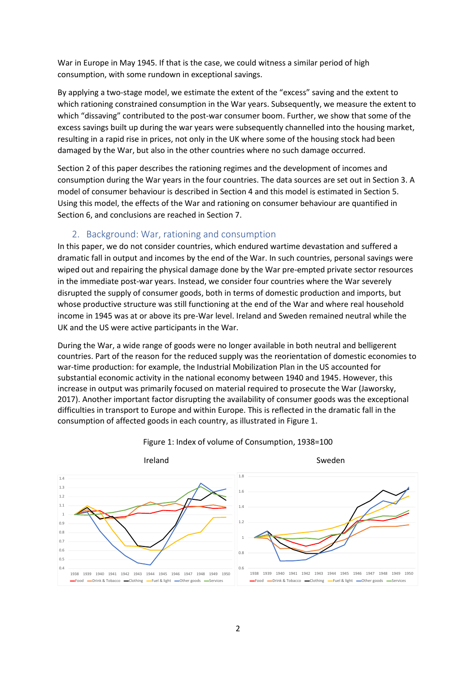War in Europe in May 1945. If that is the case, we could witness a similar period of high consumption, with some rundown in exceptional savings.

By applying a two-stage model, we estimate the extent of the "excess" saving and the extent to which rationing constrained consumption in the War years. Subsequently, we measure the extent to which "dissaving" contributed to the post-war consumer boom. Further, we show that some of the excess savings built up during the war years were subsequently channelled into the housing market, resulting in a rapid rise in prices, not only in the UK where some of the housing stock had been damaged by the War, but also in the other countries where no such damage occurred.

Section 2 of this paper describes the rationing regimes and the development of incomes and consumption during the War years in the four countries. The data sources are set out in Section 3. A model of consumer behaviour is described in Section 4 and this model is estimated in Section 5. Using this model, the effects of the War and rationing on consumer behaviour are quantified in Section 6, and conclusions are reached in Section 7.

## 2. Background: War, rationing and consumption

In this paper, we do not consider countries, which endured wartime devastation and suffered a dramatic fall in output and incomes by the end of the War. In such countries, personal savings were wiped out and repairing the physical damage done by the War pre-empted private sector resources in the immediate post-war years. Instead, we consider four countries where the War severely disrupted the supply of consumer goods, both in terms of domestic production and imports, but whose productive structure was still functioning at the end of the War and where real household income in 1945 was at or above its pre-War level. Ireland and Sweden remained neutral while the UK and the US were active participants in the War.

During the War, a wide range of goods were no longer available in both neutral and belligerent countries. Part of the reason for the reduced supply was the reorientation of domestic economies to war-time production: for example, the Industrial Mobilization Plan in the US accounted for substantial economic activity in the national economy between 1940 and 1945. However, this increase in output was primarily focused on material required to prosecute the War (Jaworsky, 2017). Another important factor disrupting the availability of consumer goods was the exceptional difficulties in transport to Europe and within Europe. This is reflected in the dramatic fall in the consumption of affected goods in each country, as illustrated in Figure 1.



Figure 1: Index of volume of Consumption, 1938=100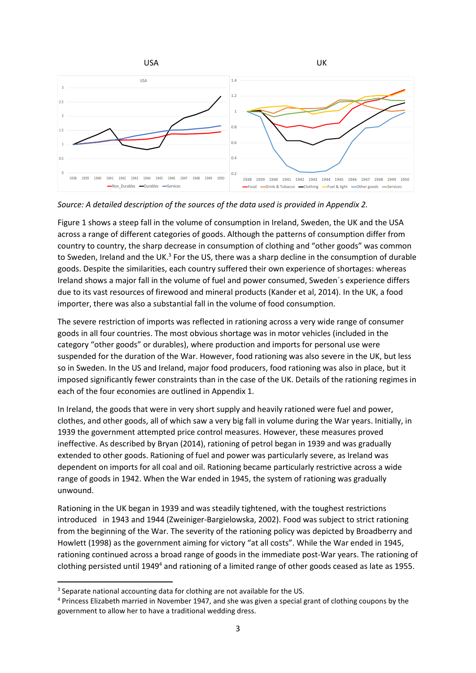

*Source: A detailed description of the sources of the data used is provided in Appendix 2.*

Figure 1 shows a steep fall in the volume of consumption in Ireland, Sweden, the UK and the USA across a range of different categories of goods. Although the patterns of consumption differ from country to country, the sharp decrease in consumption of clothing and "other goods" was common to Sweden, Ireland and the UK.<sup>3</sup> For the US, there was a sharp decline in the consumption of durable goods. Despite the similarities, each country suffered their own experience of shortages: whereas Ireland shows a major fall in the volume of fuel and power consumed, Sweden´s experience differs due to its vast resources of firewood and mineral products (Kander et al, 2014). In the UK, a food importer, there was also a substantial fall in the volume of food consumption.

The severe restriction of imports was reflected in rationing across a very wide range of consumer goods in all four countries. The most obvious shortage was in motor vehicles (included in the category "other goods" or durables), where production and imports for personal use were suspended for the duration of the War. However, food rationing was also severe in the UK, but less so in Sweden. In the US and Ireland, major food producers, food rationing was also in place, but it imposed significantly fewer constraints than in the case of the UK. Details of the rationing regimes in each of the four economies are outlined in Appendix 1.

In Ireland, the goods that were in very short supply and heavily rationed were fuel and power, clothes, and other goods, all of which saw a very big fall in volume during the War years. Initially, in 1939 the government attempted price control measures. However, these measures proved ineffective. As described by Bryan (2014), rationing of petrol began in 1939 and was gradually extended to other goods. Rationing of fuel and power was particularly severe, as Ireland was dependent on imports for all coal and oil. Rationing became particularly restrictive across a wide range of goods in 1942. When the War ended in 1945, the system of rationing was gradually unwound.

Rationing in the UK began in 1939 and was steadily tightened, with the toughest restrictions introduced in 1943 and 1944 (Zweiniger-Bargielowska, 2002). Food was subject to strict rationing from the beginning of the War. The severity of the rationing policy was depicted by Broadberry and Howlett (1998) as the government aiming for victory "at all costs". While the War ended in 1945, rationing continued across a broad range of goods in the immediate post-War years. The rationing of clothing persisted until 1949<sup>4</sup> and rationing of a limited range of other goods ceased as late as 1955.

<sup>&</sup>lt;sup>3</sup> Separate national accounting data for clothing are not available for the US.

<sup>4</sup> Princess Elizabeth married in November 1947, and she was given a special grant of clothing coupons by the government to allow her to have a traditional wedding dress.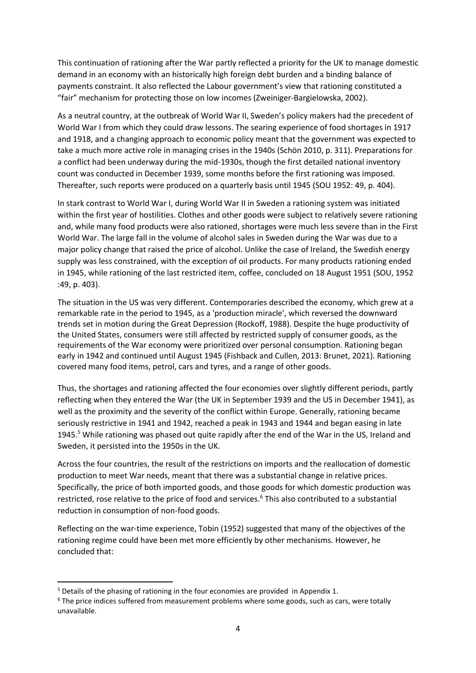This continuation of rationing after the War partly reflected a priority for the UK to manage domestic demand in an economy with an historically high foreign debt burden and a binding balance of payments constraint. It also reflected the Labour government's view that rationing constituted a "fair" mechanism for protecting those on low incomes (Zweiniger-Bargielowska, 2002).

As a neutral country, at the outbreak of World War II, Sweden's policy makers had the precedent of World War I from which they could draw lessons. The searing experience of food shortages in 1917 and 1918, and a changing approach to economic policy meant that the government was expected to take a much more active role in managing crises in the 1940s (Schön 2010, p. 311). Preparations for a conflict had been underway during the mid-1930s, though the first detailed national inventory count was conducted in December 1939, some months before the first rationing was imposed. Thereafter, such reports were produced on a quarterly basis until 1945 (SOU 1952: 49, p. 404).

In stark contrast to World War I, during World War II in Sweden a rationing system was initiated within the first year of hostilities. Clothes and other goods were subject to relatively severe rationing and, while many food products were also rationed, shortages were much less severe than in the First World War. The large fall in the volume of alcohol sales in Sweden during the War was due to a major policy change that raised the price of alcohol. Unlike the case of Ireland, the Swedish energy supply was less constrained, with the exception of oil products. For many products rationing ended in 1945, while rationing of the last restricted item, coffee, concluded on 18 August 1951 (SOU, 1952 :49, p. 403).

The situation in the US was very different. Contemporaries described the economy, which grew at a remarkable rate in the period to 1945, as a 'production miracle', which reversed the downward trends set in motion during the Great Depression (Rockoff, 1988). Despite the huge productivity of the United States, consumers were still affected by restricted supply of consumer goods, as the requirements of the War economy were prioritized over personal consumption. Rationing began early in 1942 and continued until August 1945 (Fishback and Cullen, 2013: Brunet, 2021). Rationing covered many food items, petrol, cars and tyres, and a range of other goods.

Thus, the shortages and rationing affected the four economies over slightly different periods, partly reflecting when they entered the War (the UK in September 1939 and the US in December 1941), as well as the proximity and the severity of the conflict within Europe. Generally, rationing became seriously restrictive in 1941 and 1942, reached a peak in 1943 and 1944 and began easing in late 1945.<sup>5</sup> While rationing was phased out quite rapidly after the end of the War in the US, Ireland and Sweden, it persisted into the 1950s in the UK.

Across the four countries, the result of the restrictions on imports and the reallocation of domestic production to meet War needs, meant that there was a substantial change in relative prices. Specifically, the price of both imported goods, and those goods for which domestic production was restricted, rose relative to the price of food and services.<sup>6</sup> This also contributed to a substantial reduction in consumption of non-food goods.

Reflecting on the war-time experience, Tobin (1952) suggested that many of the objectives of the rationing regime could have been met more efficiently by other mechanisms. However, he concluded that:

<sup>5</sup> Details of the phasing of rationing in the four economies are provided in Appendix 1.

 $6$  The price indices suffered from measurement problems where some goods, such as cars, were totally unavailable.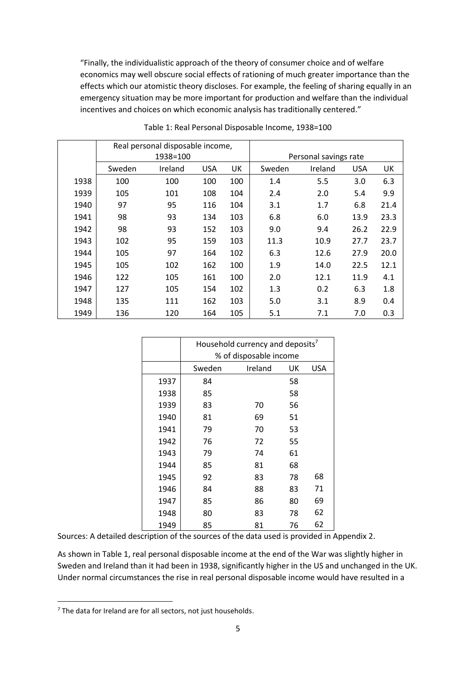"Finally, the individualistic approach of the theory of consumer choice and of welfare economics may well obscure social effects of rationing of much greater importance than the effects which our atomistic theory discloses. For example, the feeling of sharing equally in an emergency situation may be more important for production and welfare than the individual incentives and choices on which economic analysis has traditionally centered."

|      | Real personal disposable income, |          |            |     |                       |         |            |      |  |  |  |
|------|----------------------------------|----------|------------|-----|-----------------------|---------|------------|------|--|--|--|
|      |                                  | 1938=100 |            |     | Personal savings rate |         |            |      |  |  |  |
|      | Sweden                           | Ireland  | <b>USA</b> | UK  | Sweden                | Ireland | <b>USA</b> | UK   |  |  |  |
| 1938 | 100                              | 100      | 100        | 100 | 1.4                   | 5.5     | 3.0        | 6.3  |  |  |  |
| 1939 | 105                              | 101      | 108        | 104 | 2.4                   | 2.0     | 5.4        | 9.9  |  |  |  |
| 1940 | 97                               | 95       | 116        | 104 | 3.1                   | 1.7     | 6.8        | 21.4 |  |  |  |
| 1941 | 98                               | 93       | 134        | 103 | 6.8                   | 6.0     | 13.9       | 23.3 |  |  |  |
| 1942 | 98                               | 93       | 152        | 103 | 9.0                   | 9.4     | 26.2       | 22.9 |  |  |  |
| 1943 | 102                              | 95       | 159        | 103 | 11.3                  | 10.9    | 27.7       | 23.7 |  |  |  |
| 1944 | 105                              | 97       | 164        | 102 | 6.3                   | 12.6    | 27.9       | 20.0 |  |  |  |
| 1945 | 105                              | 102      | 162        | 100 | 1.9                   | 14.0    | 22.5       | 12.1 |  |  |  |
| 1946 | 122                              | 105      | 161        | 100 | 2.0                   | 12.1    | 11.9       | 4.1  |  |  |  |
| 1947 | 127                              | 105      | 154        | 102 | 1.3                   | 0.2     | 6.3        | 1.8  |  |  |  |
| 1948 | 135                              | 111      | 162        | 103 | 5.0                   | 3.1     | 8.9        | 0.4  |  |  |  |
| 1949 | 136                              | 120      | 164        | 105 | 5.1                   | 7.1     | 7.0        | 0.3  |  |  |  |

Table 1: Real Personal Disposable Income, 1938=100

|      | Household currency and deposits <sup>7</sup> |                        |    |    |  |  |  |  |  |  |
|------|----------------------------------------------|------------------------|----|----|--|--|--|--|--|--|
|      |                                              | % of disposable income |    |    |  |  |  |  |  |  |
|      | Sweden                                       | Ireland<br>UK<br>USA   |    |    |  |  |  |  |  |  |
| 1937 | 84                                           |                        | 58 |    |  |  |  |  |  |  |
| 1938 | 85                                           |                        | 58 |    |  |  |  |  |  |  |
| 1939 | 83                                           | 70                     | 56 |    |  |  |  |  |  |  |
| 1940 | 81                                           | 69                     | 51 |    |  |  |  |  |  |  |
| 1941 | 79                                           | 70                     | 53 |    |  |  |  |  |  |  |
| 1942 | 76                                           | 72                     | 55 |    |  |  |  |  |  |  |
| 1943 | 79                                           | 74                     | 61 |    |  |  |  |  |  |  |
| 1944 | 85                                           | 81                     | 68 |    |  |  |  |  |  |  |
| 1945 | 92                                           | 83                     | 78 | 68 |  |  |  |  |  |  |
| 1946 | 84                                           | 88                     | 83 | 71 |  |  |  |  |  |  |
| 1947 | 85                                           | 86                     | 80 | 69 |  |  |  |  |  |  |
| 1948 | 80                                           | 83                     | 78 | 62 |  |  |  |  |  |  |
| 1949 | 85                                           | 81                     | 76 | 62 |  |  |  |  |  |  |

Sources: A detailed description of the sources of the data used is provided in Appendix 2.

As shown in Table 1, real personal disposable income at the end of the War was slightly higher in Sweden and Ireland than it had been in 1938, significantly higher in the US and unchanged in the UK. Under normal circumstances the rise in real personal disposable income would have resulted in a

The data for Ireland are for all sectors, not just households.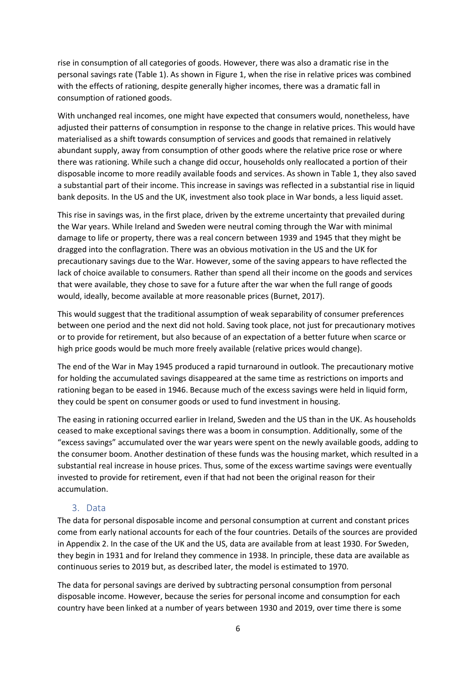rise in consumption of all categories of goods. However, there was also a dramatic rise in the personal savings rate (Table 1). As shown in Figure 1, when the rise in relative prices was combined with the effects of rationing, despite generally higher incomes, there was a dramatic fall in consumption of rationed goods.

With unchanged real incomes, one might have expected that consumers would, nonetheless, have adjusted their patterns of consumption in response to the change in relative prices. This would have materialised as a shift towards consumption of services and goods that remained in relatively abundant supply, away from consumption of other goods where the relative price rose or where there was rationing. While such a change did occur, households only reallocated a portion of their disposable income to more readily available foods and services. As shown in Table 1, they also saved a substantial part of their income. This increase in savings was reflected in a substantial rise in liquid bank deposits. In the US and the UK, investment also took place in War bonds, a less liquid asset.

This rise in savings was, in the first place, driven by the extreme uncertainty that prevailed during the War years. While Ireland and Sweden were neutral coming through the War with minimal damage to life or property, there was a real concern between 1939 and 1945 that they might be dragged into the conflagration. There was an obvious motivation in the US and the UK for precautionary savings due to the War. However, some of the saving appears to have reflected the lack of choice available to consumers. Rather than spend all their income on the goods and services that were available, they chose to save for a future after the war when the full range of goods would, ideally, become available at more reasonable prices (Burnet, 2017).

This would suggest that the traditional assumption of weak separability of consumer preferences between one period and the next did not hold. Saving took place, not just for precautionary motives or to provide for retirement, but also because of an expectation of a better future when scarce or high price goods would be much more freely available (relative prices would change).

The end of the War in May 1945 produced a rapid turnaround in outlook. The precautionary motive for holding the accumulated savings disappeared at the same time as restrictions on imports and rationing began to be eased in 1946. Because much of the excess savings were held in liquid form, they could be spent on consumer goods or used to fund investment in housing.

The easing in rationing occurred earlier in Ireland, Sweden and the US than in the UK. As households ceased to make exceptional savings there was a boom in consumption. Additionally, some of the "excess savings" accumulated over the war years were spent on the newly available goods, adding to the consumer boom. Another destination of these funds was the housing market, which resulted in a substantial real increase in house prices. Thus, some of the excess wartime savings were eventually invested to provide for retirement, even if that had not been the original reason for their accumulation.

#### 3. Data

The data for personal disposable income and personal consumption at current and constant prices come from early national accounts for each of the four countries. Details of the sources are provided in Appendix 2. In the case of the UK and the US, data are available from at least 1930. For Sweden, they begin in 1931 and for Ireland they commence in 1938. In principle, these data are available as continuous series to 2019 but, as described later, the model is estimated to 1970.

The data for personal savings are derived by subtracting personal consumption from personal disposable income. However, because the series for personal income and consumption for each country have been linked at a number of years between 1930 and 2019, over time there is some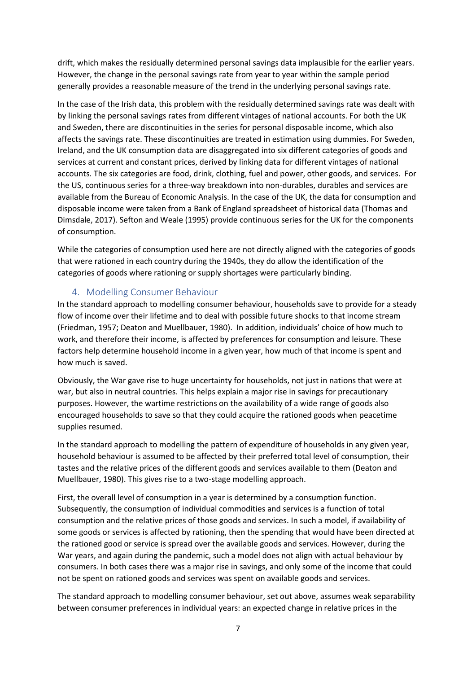drift, which makes the residually determined personal savings data implausible for the earlier years. However, the change in the personal savings rate from year to year within the sample period generally provides a reasonable measure of the trend in the underlying personal savings rate.

In the case of the Irish data, this problem with the residually determined savings rate was dealt with by linking the personal savings rates from different vintages of national accounts. For both the UK and Sweden, there are discontinuities in the series for personal disposable income, which also affects the savings rate. These discontinuities are treated in estimation using dummies. For Sweden, Ireland, and the UK consumption data are disaggregated into six different categories of goods and services at current and constant prices, derived by linking data for different vintages of national accounts. The six categories are food, drink, clothing, fuel and power, other goods, and services. For the US, continuous series for a three-way breakdown into non-durables, durables and services are available from the Bureau of Economic Analysis. In the case of the UK, the data for consumption and disposable income were taken from a Bank of England spreadsheet of historical data (Thomas and Dimsdale, 2017). Sefton and Weale (1995) provide continuous series for the UK for the components of consumption.

While the categories of consumption used here are not directly aligned with the categories of goods that were rationed in each country during the 1940s, they do allow the identification of the categories of goods where rationing or supply shortages were particularly binding.

#### 4. Modelling Consumer Behaviour

In the standard approach to modelling consumer behaviour, households save to provide for a steady flow of income over their lifetime and to deal with possible future shocks to that income stream (Friedman, 1957; Deaton and Muellbauer, 1980). In addition, individuals' choice of how much to work, and therefore their income, is affected by preferences for consumption and leisure. These factors help determine household income in a given year, how much of that income is spent and how much is saved.

Obviously, the War gave rise to huge uncertainty for households, not just in nations that were at war, but also in neutral countries. This helps explain a major rise in savings for precautionary purposes. However, the wartime restrictions on the availability of a wide range of goods also encouraged households to save so that they could acquire the rationed goods when peacetime supplies resumed.

In the standard approach to modelling the pattern of expenditure of households in any given year, household behaviour is assumed to be affected by their preferred total level of consumption, their tastes and the relative prices of the different goods and services available to them (Deaton and Muellbauer, 1980). This gives rise to a two-stage modelling approach.

First, the overall level of consumption in a year is determined by a consumption function. Subsequently, the consumption of individual commodities and services is a function of total consumption and the relative prices of those goods and services. In such a model, if availability of some goods or services is affected by rationing, then the spending that would have been directed at the rationed good or service is spread over the available goods and services. However, during the War years, and again during the pandemic, such a model does not align with actual behaviour by consumers. In both cases there was a major rise in savings, and only some of the income that could not be spent on rationed goods and services was spent on available goods and services.

The standard approach to modelling consumer behaviour, set out above, assumes weak separability between consumer preferences in individual years: an expected change in relative prices in the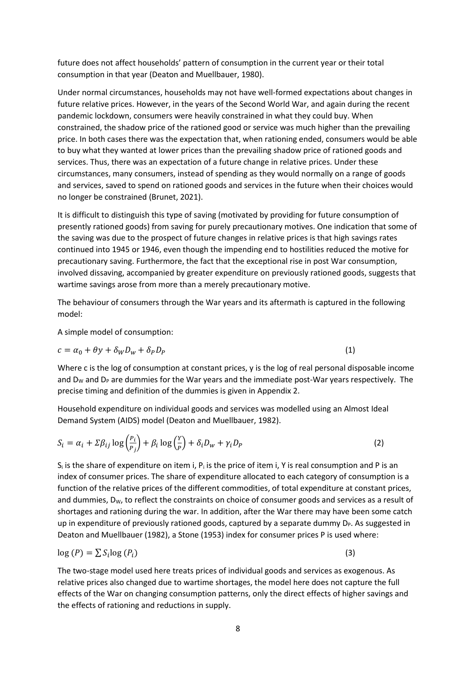future does not affect households' pattern of consumption in the current year or their total consumption in that year (Deaton and Muellbauer, 1980).

Under normal circumstances, households may not have well-formed expectations about changes in future relative prices. However, in the years of the Second World War, and again during the recent pandemic lockdown, consumers were heavily constrained in what they could buy. When constrained, the shadow price of the rationed good or service was much higher than the prevailing price. In both cases there was the expectation that, when rationing ended, consumers would be able to buy what they wanted at lower prices than the prevailing shadow price of rationed goods and services. Thus, there was an expectation of a future change in relative prices. Under these circumstances, many consumers, instead of spending as they would normally on a range of goods and services, saved to spend on rationed goods and services in the future when their choices would no longer be constrained (Brunet, 2021).

It is difficult to distinguish this type of saving (motivated by providing for future consumption of presently rationed goods) from saving for purely precautionary motives. One indication that some of the saving was due to the prospect of future changes in relative prices is that high savings rates continued into 1945 or 1946, even though the impending end to hostilities reduced the motive for precautionary saving. Furthermore, the fact that the exceptional rise in post War consumption, involved dissaving, accompanied by greater expenditure on previously rationed goods, suggests that wartime savings arose from more than a merely precautionary motive.

The behaviour of consumers through the War years and its aftermath is captured in the following model:

A simple model of consumption:

$$
c = \alpha_0 + \theta y + \delta_W D_W + \delta_P D_P \tag{1}
$$

Where c is the log of consumption at constant prices, y is the log of real personal disposable income and  $D<sub>w</sub>$  and  $D<sub>P</sub>$  are dummies for the War years and the immediate post-War years respectively. The precise timing and definition of the dummies is given in Appendix 2.

Household expenditure on individual goods and services was modelled using an Almost Ideal Demand System (AIDS) model (Deaton and Muellbauer, 1982).

$$
S_i = \alpha_i + \Sigma \beta_{ij} \log \left( \frac{P_i}{P_j} \right) + \beta_i \log \left( \frac{Y}{P} \right) + \delta_i D_w + \gamma_i D_P \tag{2}
$$

 $S_i$  is the share of expenditure on item i,  $P_i$  is the price of item i, Y is real consumption and P is an index of consumer prices. The share of expenditure allocated to each category of consumption is a function of the relative prices of the different commodities, of total expenditure at constant prices, and dummies,  $D_W$ , to reflect the constraints on choice of consumer goods and services as a result of shortages and rationing during the war. In addition, after the War there may have been some catch up in expenditure of previously rationed goods, captured by a separate dummy D<sub>P</sub>. As suggested in Deaton and Muellbauer (1982), a Stone (1953) index for consumer prices P is used where:

$$
\log(P) = \sum S_i \log(P_i) \tag{3}
$$

The two-stage model used here treats prices of individual goods and services as exogenous. As relative prices also changed due to wartime shortages, the model here does not capture the full effects of the War on changing consumption patterns, only the direct effects of higher savings and the effects of rationing and reductions in supply.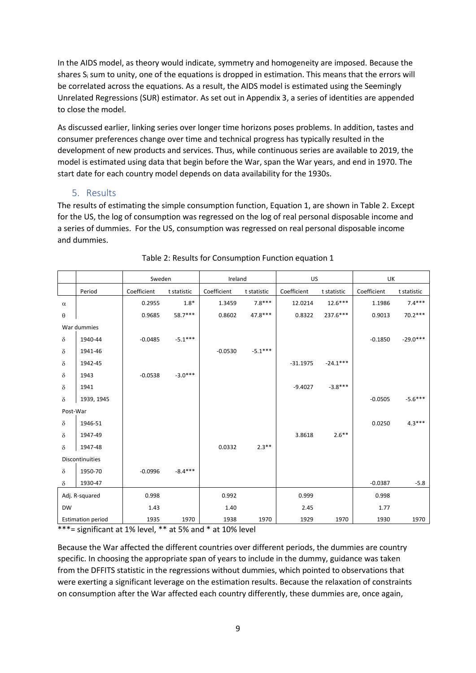In the AIDS model, as theory would indicate, symmetry and homogeneity are imposed. Because the shares S<sub>i</sub> sum to unity, one of the equations is dropped in estimation. This means that the errors will be correlated across the equations. As a result, the AIDS model is estimated using the Seemingly Unrelated Regressions (SUR) estimator. As set out in Appendix 3, a series of identities are appended to close the model.

As discussed earlier, linking series over longer time horizons poses problems. In addition, tastes and consumer preferences change over time and technical progress has typically resulted in the development of new products and services. Thus, while continuous series are available to 2019, the model is estimated using data that begin before the War, span the War years, and end in 1970. The start date for each country model depends on data availability for the 1930s.

#### 5. Results

The results of estimating the simple consumption function, Equation 1, are shown in Table 2. Except for the US, the log of consumption was regressed on the log of real personal disposable income and a series of dummies. For the US, consumption was regressed on real personal disposable income and dummies.

|           |                          | Sweden      |             | Ireland     |             | US          |             | UK          |             |
|-----------|--------------------------|-------------|-------------|-------------|-------------|-------------|-------------|-------------|-------------|
|           | Period                   | Coefficient | t statistic | Coefficient | t statistic | Coefficient | t statistic | Coefficient | t statistic |
| $\alpha$  |                          | 0.2955      | $1.8*$      | 1.3459      | $7.8***$    | 12.0214     | $12.6***$   | 1.1986      | $7.4***$    |
| θ         |                          | 0.9685      | $58.7***$   | 0.8602      | $47.8***$   | 0.8322      | 237.6***    | 0.9013      | $70.2***$   |
|           | War dummies              |             |             |             |             |             |             |             |             |
| $\delta$  | 1940-44                  | $-0.0485$   | $-5.1***$   |             |             |             |             | $-0.1850$   | $-29.0***$  |
| δ         | 1941-46                  |             |             | $-0.0530$   | $-5.1***$   |             |             |             |             |
| δ         | 1942-45                  |             |             |             |             | $-31.1975$  | $-24.1***$  |             |             |
| $\delta$  | 1943                     | $-0.0538$   | $-3.0***$   |             |             |             |             |             |             |
| $\delta$  | 1941                     |             |             |             |             | $-9.4027$   | $-3.8***$   |             |             |
| $\delta$  | 1939, 1945               |             |             |             |             |             |             | $-0.0505$   | $-5.6***$   |
| Post-War  |                          |             |             |             |             |             |             |             |             |
| $\delta$  | 1946-51                  |             |             |             |             |             |             | 0.0250      | $4.3***$    |
| δ         | 1947-49                  |             |             |             |             | 3.8618      | $2.6***$    |             |             |
| $\delta$  | 1947-48                  |             |             | 0.0332      | $2.3***$    |             |             |             |             |
|           | <b>Discontinuities</b>   |             |             |             |             |             |             |             |             |
| $\delta$  | 1950-70                  | $-0.0996$   | $-8.4***$   |             |             |             |             |             |             |
| $\delta$  | 1930-47                  |             |             |             |             |             |             | $-0.0387$   | $-5.8$      |
|           | Adj. R-squared           | 0.998       |             | 0.992       |             | 0.999       |             | 0.998       |             |
| <b>DW</b> |                          | 1.43        |             | 1.40        |             | 2.45        |             | 1.77        |             |
|           | <b>Estimation period</b> | 1935        | 1970        | 1938        | 1970        | 1929        | 1970        | 1930        | 1970        |

#### Table 2: Results for Consumption Function equation 1

 $***$ = significant at 1% level,  $**$  at 5% and  $*$  at 10% level

Because the War affected the different countries over different periods, the dummies are country specific. In choosing the appropriate span of years to include in the dummy, guidance was taken from the DFFITS statistic in the regressions without dummies, which pointed to observations that were exerting a significant leverage on the estimation results. Because the relaxation of constraints on consumption after the War affected each country differently, these dummies are, once again,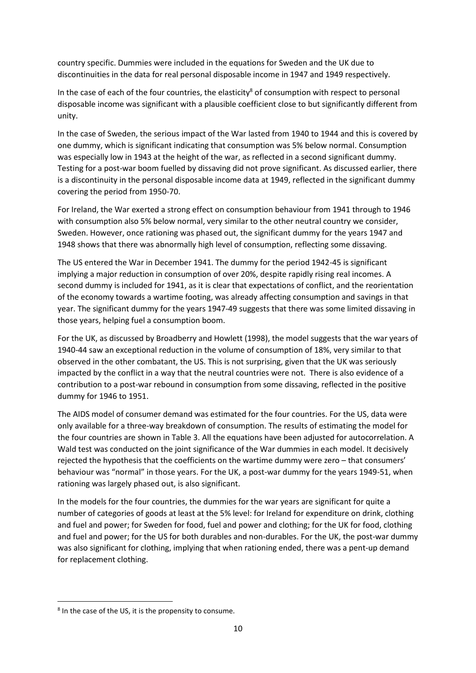country specific. Dummies were included in the equations for Sweden and the UK due to discontinuities in the data for real personal disposable income in 1947 and 1949 respectively.

In the case of each of the four countries, the elasticity<sup>8</sup> of consumption with respect to personal disposable income was significant with a plausible coefficient close to but significantly different from unity.

In the case of Sweden, the serious impact of the War lasted from 1940 to 1944 and this is covered by one dummy, which is significant indicating that consumption was 5% below normal. Consumption was especially low in 1943 at the height of the war, as reflected in a second significant dummy. Testing for a post-war boom fuelled by dissaving did not prove significant. As discussed earlier, there is a discontinuity in the personal disposable income data at 1949, reflected in the significant dummy covering the period from 1950-70.

For Ireland, the War exerted a strong effect on consumption behaviour from 1941 through to 1946 with consumption also 5% below normal, very similar to the other neutral country we consider, Sweden. However, once rationing was phased out, the significant dummy for the years 1947 and 1948 shows that there was abnormally high level of consumption, reflecting some dissaving.

The US entered the War in December 1941. The dummy for the period 1942-45 is significant implying a major reduction in consumption of over 20%, despite rapidly rising real incomes. A second dummy is included for 1941, as it is clear that expectations of conflict, and the reorientation of the economy towards a wartime footing, was already affecting consumption and savings in that year. The significant dummy for the years 1947-49 suggests that there was some limited dissaving in those years, helping fuel a consumption boom.

For the UK, as discussed by Broadberry and Howlett (1998), the model suggests that the war years of 1940-44 saw an exceptional reduction in the volume of consumption of 18%, very similar to that observed in the other combatant, the US. This is not surprising, given that the UK was seriously impacted by the conflict in a way that the neutral countries were not. There is also evidence of a contribution to a post-war rebound in consumption from some dissaving, reflected in the positive dummy for 1946 to 1951.

The AIDS model of consumer demand was estimated for the four countries. For the US, data were only available for a three-way breakdown of consumption. The results of estimating the model for the four countries are shown in Table 3. All the equations have been adjusted for autocorrelation. A Wald test was conducted on the joint significance of the War dummies in each model. It decisively rejected the hypothesis that the coefficients on the wartime dummy were zero – that consumers' behaviour was "normal" in those years. For the UK, a post-war dummy for the years 1949-51, when rationing was largely phased out, is also significant.

In the models for the four countries, the dummies for the war years are significant for quite a number of categories of goods at least at the 5% level: for Ireland for expenditure on drink, clothing and fuel and power; for Sweden for food, fuel and power and clothing; for the UK for food, clothing and fuel and power; for the US for both durables and non-durables. For the UK, the post-war dummy was also significant for clothing, implying that when rationing ended, there was a pent-up demand for replacement clothing.

<sup>&</sup>lt;sup>8</sup> In the case of the US, it is the propensity to consume.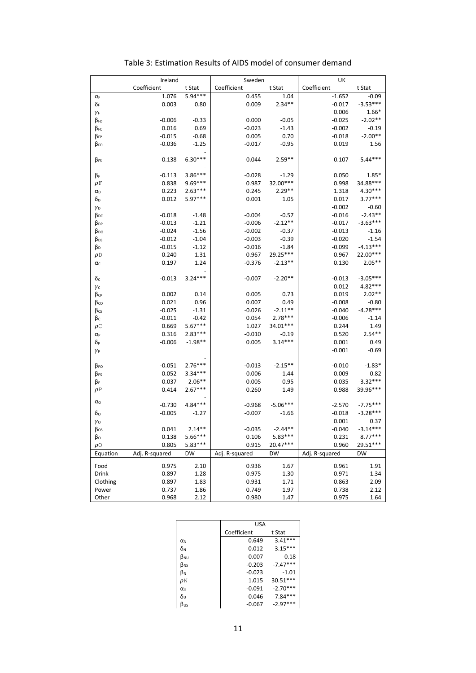|                     | Ireland        |           | Sweden         |            | UK             |            |
|---------------------|----------------|-----------|----------------|------------|----------------|------------|
|                     | Coefficient    | t Stat    | Coefficient    | t Stat     | Coefficient    | t Stat     |
| $\alpha_F$          | 1.076          | $5.94***$ | 0.455          | 1.04       | $-1.652$       | $-0.09$    |
| δғ                  | 0.003          | 0.80      | 0.009          | $2.34**$   | $-0.017$       | $-3.53***$ |
| $\gamma_F$          |                |           |                |            | 0.006          | $1.66*$    |
| β <sub>FD</sub>     | $-0.006$       | $-0.33$   | 0.000          | $-0.05$    | $-0.025$       | $-2.02**$  |
| βгс                 | 0.016          | 0.69      | $-0.023$       | $-1.43$    | $-0.002$       | $-0.19$    |
| $\beta_{FP}$        | $-0.015$       | $-0.68$   | 0.005          | 0.70       | $-0.018$       | $-2.00**$  |
| βго                 | $-0.036$       | $-1.25$   | $-0.017$       | $-0.95$    | 0.019          | 1.56       |
|                     |                |           |                |            |                |            |
| B <sub>FS</sub>     | $-0.138$       | $6.30***$ | $-0.044$       | $-2.59**$  | $-0.107$       | $-5.44***$ |
|                     |                |           |                |            |                |            |
| βF                  | $-0.113$       | $3.86***$ | $-0.028$       | $-1.29$    | 0.050          | $1.85*$    |
| ρF                  | 0.838          | $9.69***$ | 0.987          | 32.00***   | 0.998          | 34.88***   |
| $\alpha_{\text{D}}$ | 0.223          | $2.63***$ | 0.245          | $2.29**$   | 1.318          | $4.30***$  |
| δρ                  | 0.012          | $5.97***$ | 0.001          | 1.05       | 0.017          | $3.77***$  |
| γD                  |                |           |                |            | $-0.002$       | $-0.60$    |
| β <sub>DC</sub>     | $-0.018$       | $-1.48$   | $-0.004$       | $-0.57$    | $-0.016$       | $-2.43**$  |
| B <sub>DP</sub>     | $-0.013$       | $-1.21$   | $-0.006$       | $-2.12**$  | $-0.017$       | $-3.63***$ |
| β <sub>DO</sub>     | $-0.024$       | $-1.56$   | $-0.002$       | $-0.37$    | $-0.013$       | $-1.16$    |
| β <sub>DS</sub>     | $-0.012$       | $-1.04$   | $-0.003$       | $-0.39$    | $-0.020$       | $-1.54$    |
| βD                  | $-0.015$       | $-1.12$   | $-0.016$       | $-1.84$    | $-0.099$       | $-4.13***$ |
| $\rho$ D            | 0.240          | 1.31      | 0.967          | 29.25***   | 0.967          | 22.00***   |
| $\alpha_c$          | 0.197          | 1.24      | $-0.376$       | $-2.13**$  | 0.130          | $2.05**$   |
|                     |                |           |                |            |                |            |
| δc                  | $-0.013$       | $3.24***$ | $-0.007$       | $-2.20**$  | $-0.013$       | $-3.05***$ |
| γc                  |                |           |                |            | 0.012          | $4.82***$  |
| βср                 | 0.002          | 0.14      | 0.005          | 0.73       | 0.019          | $2.02**$   |
| βco                 | 0.021          | 0.96      | 0.007          | 0.49       | $-0.008$       | $-0.80$    |
| $\beta$ cs          | $-0.025$       | $-1.31$   | $-0.026$       | $-2.11**$  | $-0.040$       | $-4.28***$ |
| βc                  | $-0.011$       | $-0.42$   | 0.054          | $2.78***$  | $-0.006$       | $-1.14$    |
| $\rho$ C            | 0.669          | $5.67***$ | 1.027          | 34.01***   | 0.244          | 1.49       |
| $\alpha_{\text{P}}$ | 0.316          | $2.83***$ | $-0.010$       | $-0.19$    | 0.520          | $2.54**$   |
| δр                  | $-0.006$       | $-1.98**$ | 0.005          | $3.14***$  | 0.001          | 0.49       |
| $\gamma_{\rm P}$    |                |           |                |            | $-0.001$       | $-0.69$    |
|                     |                |           |                |            |                |            |
| β <sub>PO</sub>     | $-0.051$       | $2.76***$ | $-0.013$       | $-2.15**$  | $-0.010$       | $-1.83*$   |
| β <sub>PS</sub>     | 0.052          | $3.34***$ | $-0.006$       | $-1.44$    | 0.009          | 0.82       |
| βp                  | $-0.037$       | $-2.06**$ | 0.005          | 0.95       | $-0.035$       | $-3.32***$ |
| $\rho P$            | 0.414          | $2.67***$ | 0.260          | 1.49       | 0.988          | 39.96***   |
|                     |                |           |                |            |                |            |
| $\alpha$ o          | $-0.730$       | $4.84***$ | $-0.968$       | $-5.06***$ | $-2.570$       | $-7.75***$ |
| δο                  | $-0.005$       | $-1.27$   | $-0.007$       | $-1.66$    | $-0.018$       | $-3.28***$ |
| $\gamma$ o          |                |           |                |            | 0.001          | 0.37       |
| $\beta$ os          | 0.041          | $2.14***$ | $-0.035$       | $-2.44**$  | $-0.040$       | $-3.14***$ |
| βo                  | 0.138          | $5.66***$ | 0.106          | $5.83***$  | 0.231          | $8.77***$  |
| $\rho \circ$        | 0.805          | $5.83***$ | 0.915          | 20.47***   | 0.960          | 29.51***   |
| Equation            | Adj. R-squared | <b>DW</b> | Adj. R-squared | <b>DW</b>  | Adj. R-squared | <b>DW</b>  |
| Food                | 0.975          | 2.10      | 0.936          | 1.67       | 0.961          | 1.91       |
| Drink               | 0.897          | 1.28      | 0.975          | 1.30       | 0.971          | 1.34       |
| Clothing            | 0.897          | 1.83      | 0.931          | 1.71       | 0.863          | 2.09       |
| Power               | 0.737          | 1.86      | 0.749          | 1.97       | 0.738          | 2.12       |
| Other               | 0.968          | 2.12      | 0.980          | 1.47       | 0.975          | 1.64       |
|                     |                |           |                |            |                |            |

Table 3: Estimation Results of AIDS model of consumer demand

|              | USA         |            |
|--------------|-------------|------------|
|              | Coefficient | t Stat     |
| αN           | 0.649       | $3.41***$  |
| δм           | 0.012       | $3.15***$  |
| BNU          | $-0.007$    | $-0.18$    |
| $\beta_{NS}$ | $-0.203$    | $-7.47***$ |
| ß٧           | $-0.023$    | $-1.01$    |
| $\rho$ N     | 1.015       | $30.51***$ |
| $\alpha$     | $-0.091$    | $-2.70***$ |
| δυ           | $-0.046$    | $-7.84***$ |
| βus          | $-0.067$    | $-2.97***$ |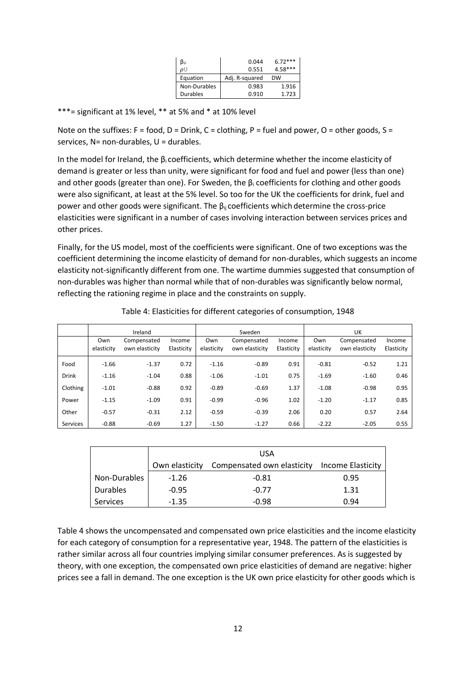| ßυ              | 0.044          | $6.72***$ |
|-----------------|----------------|-----------|
| ρU              | 0.551          | $4.58***$ |
| Equation        | Adj. R-squared | <b>DW</b> |
| Non-Durables    | 0.983          | 1.916     |
| <b>Durables</b> | 0.910          | 1.723     |

\*\*\*= significant at 1% level, \*\* at 5% and \* at 10% level

Note on the suffixes: F = food, D = Drink, C = clothing, P = fuel and power, O = other goods, S = services,  $N=$  non-durables,  $U =$  durables.

In the model for Ireland, the  $\beta_i$  coefficients, which determine whether the income elasticity of demand is greater or less than unity, were significant for food and fuel and power (less than one) and other goods (greater than one). For Sweden, the  $\beta_i$  coefficients for clothing and other goods were also significant, at least at the 5% level. So too for the UK the coefficients for drink, fuel and power and other goods were significant. The  $\beta_{ii}$  coefficients which determine the cross-price elasticities were significant in a number of cases involving interaction between services prices and other prices.

Finally, for the US model, most of the coefficients were significant. One of two exceptions was the coefficient determining the income elasticity of demand for non-durables, which suggests an income elasticity not-significantly different from one. The wartime dummies suggested that consumption of non-durables was higher than normal while that of non-durables was significantly below normal, reflecting the rationing regime in place and the constraints on supply.

|              | Ireland           |                               |                      | Sweden            |                               |                      |                   | UK                            |                      |  |
|--------------|-------------------|-------------------------------|----------------------|-------------------|-------------------------------|----------------------|-------------------|-------------------------------|----------------------|--|
|              | Own<br>elasticity | Compensated<br>own elasticity | Income<br>Elasticity | Own<br>elasticity | Compensated<br>own elasticity | Income<br>Elasticity | Own<br>elasticity | Compensated<br>own elasticity | Income<br>Elasticity |  |
| Food         | $-1.66$           | $-1.37$                       | 0.72                 | $-1.16$           | $-0.89$                       | 0.91                 | $-0.81$           | $-0.52$                       | 1.21                 |  |
| <b>Drink</b> | $-1.16$           | $-1.04$                       | 0.88                 | $-1.06$           | $-1.01$                       | 0.75                 | $-1.69$           | $-1.60$                       | 0.46                 |  |
| Clothing     | $-1.01$           | $-0.88$                       | 0.92                 | $-0.89$           | $-0.69$                       | 1.37                 | $-1.08$           | $-0.98$                       | 0.95                 |  |
| Power        | $-1.15$           | $-1.09$                       | 0.91                 | $-0.99$           | $-0.96$                       | 1.02                 | $-1.20$           | $-1.17$                       | 0.85                 |  |
| Other        | $-0.57$           | $-0.31$                       | 2.12                 | $-0.59$           | $-0.39$                       | 2.06                 | 0.20              | 0.57                          | 2.64                 |  |
| Services     | $-0.88$           | $-0.69$                       | 1.27                 | $-1.50$           | $-1.27$                       | 0.66                 | $-2.22$           | $-2.05$                       | 0.55                 |  |

Table 4: Elasticities for different categories of consumption, 1948

|                 |                | <b>USA</b>                 |                   |
|-----------------|----------------|----------------------------|-------------------|
|                 | Own elasticity | Compensated own elasticity | Income Elasticity |
| Non-Durables    | $-1.26$        | $-0.81$                    | 0.95              |
| <b>Durables</b> | $-0.95$        | $-0.77$                    | 1.31              |
| <b>Services</b> | $-1.35$        | $-0.98$                    | 0.94              |

Table 4 shows the uncompensated and compensated own price elasticities and the income elasticity for each category of consumption for a representative year, 1948. The pattern of the elasticities is rather similar across all four countries implying similar consumer preferences. As is suggested by theory, with one exception, the compensated own price elasticities of demand are negative: higher prices see a fall in demand. The one exception is the UK own price elasticity for other goods which is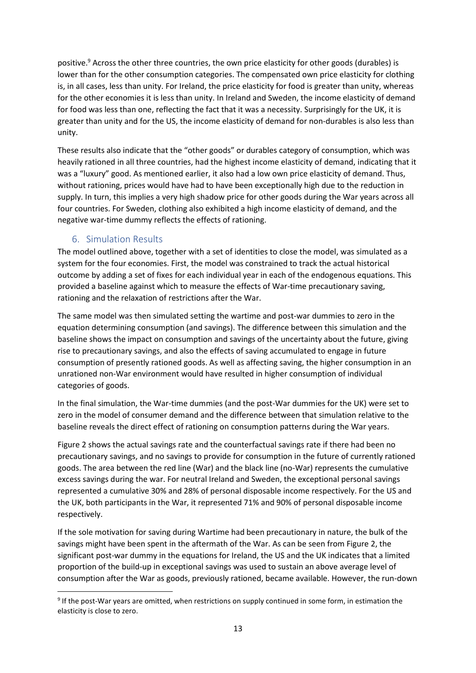positive.<sup>9</sup> Across the other three countries, the own price elasticity for other goods (durables) is lower than for the other consumption categories. The compensated own price elasticity for clothing is, in all cases, less than unity. For Ireland, the price elasticity for food is greater than unity, whereas for the other economies it is less than unity. In Ireland and Sweden, the income elasticity of demand for food was less than one, reflecting the fact that it was a necessity. Surprisingly for the UK, it is greater than unity and for the US, the income elasticity of demand for non-durables is also less than unity.

These results also indicate that the "other goods" or durables category of consumption, which was heavily rationed in all three countries, had the highest income elasticity of demand, indicating that it was a "luxury" good. As mentioned earlier, it also had a low own price elasticity of demand. Thus, without rationing, prices would have had to have been exceptionally high due to the reduction in supply. In turn, this implies a very high shadow price for other goods during the War years across all four countries. For Sweden, clothing also exhibited a high income elasticity of demand, and the negative war-time dummy reflects the effects of rationing.

#### 6. Simulation Results

The model outlined above, together with a set of identities to close the model, was simulated as a system for the four economies. First, the model was constrained to track the actual historical outcome by adding a set of fixes for each individual year in each of the endogenous equations. This provided a baseline against which to measure the effects of War-time precautionary saving, rationing and the relaxation of restrictions after the War.

The same model was then simulated setting the wartime and post-war dummies to zero in the equation determining consumption (and savings). The difference between this simulation and the baseline shows the impact on consumption and savings of the uncertainty about the future, giving rise to precautionary savings, and also the effects of saving accumulated to engage in future consumption of presently rationed goods. As well as affecting saving, the higher consumption in an unrationed non-War environment would have resulted in higher consumption of individual categories of goods.

In the final simulation, the War-time dummies (and the post-War dummies for the UK) were set to zero in the model of consumer demand and the difference between that simulation relative to the baseline reveals the direct effect of rationing on consumption patterns during the War years.

Figure 2 shows the actual savings rate and the counterfactual savings rate if there had been no precautionary savings, and no savings to provide for consumption in the future of currently rationed goods. The area between the red line (War) and the black line (no-War) represents the cumulative excess savings during the war. For neutral Ireland and Sweden, the exceptional personal savings represented a cumulative 30% and 28% of personal disposable income respectively. For the US and the UK, both participants in the War, it represented 71% and 90% of personal disposable income respectively.

If the sole motivation for saving during Wartime had been precautionary in nature, the bulk of the savings might have been spent in the aftermath of the War. As can be seen from Figure 2, the significant post-war dummy in the equations for Ireland, the US and the UK indicates that a limited proportion of the build-up in exceptional savings was used to sustain an above average level of consumption after the War as goods, previously rationed, became available. However, the run-down

<sup>&</sup>lt;sup>9</sup> If the post-War years are omitted, when restrictions on supply continued in some form, in estimation the elasticity is close to zero.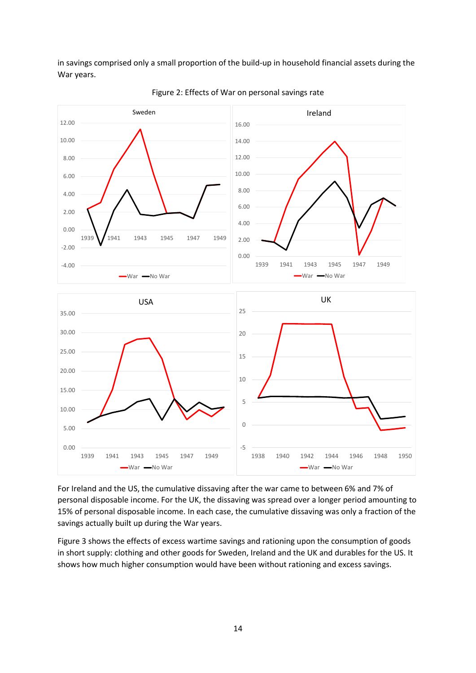in savings comprised only a small proportion of the build-up in household financial assets during the War years.



Figure 2: Effects of War on personal savings rate

For Ireland and the US, the cumulative dissaving after the war came to between 6% and 7% of personal disposable income. For the UK, the dissaving was spread over a longer period amounting to 15% of personal disposable income. In each case, the cumulative dissaving was only a fraction of the savings actually built up during the War years.

Figure 3 shows the effects of excess wartime savings and rationing upon the consumption of goods in short supply: clothing and other goods for Sweden, Ireland and the UK and durables for the US. It shows how much higher consumption would have been without rationing and excess savings.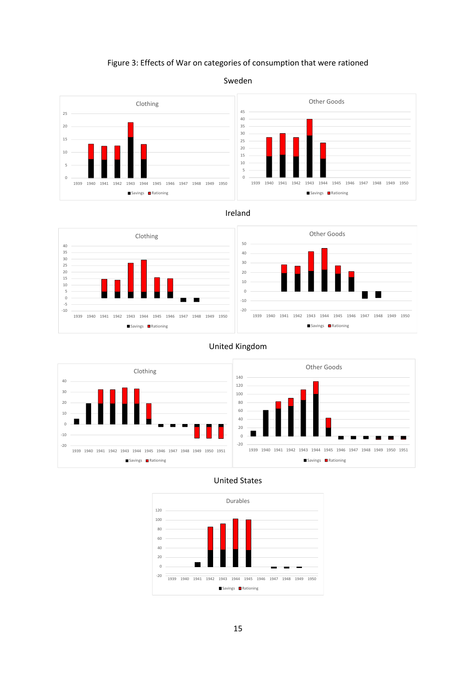#### Figure 3: Effects of War on categories of consumption that were rationed



#### Sweden

#### Ireland



#### United Kingdom



#### United States

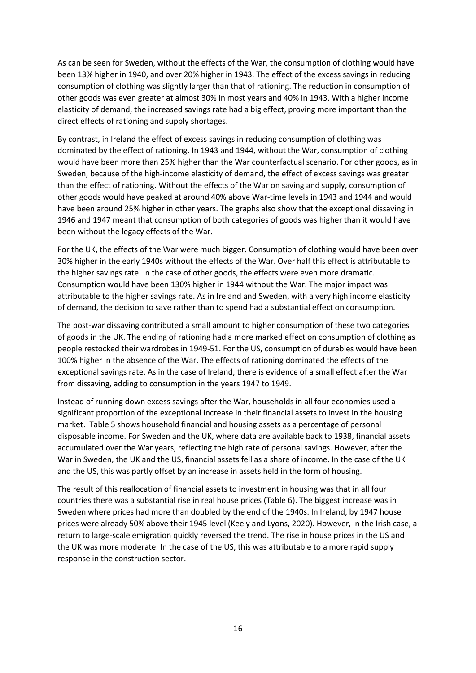As can be seen for Sweden, without the effects of the War, the consumption of clothing would have been 13% higher in 1940, and over 20% higher in 1943. The effect of the excess savings in reducing consumption of clothing was slightly larger than that of rationing. The reduction in consumption of other goods was even greater at almost 30% in most years and 40% in 1943. With a higher income elasticity of demand, the increased savings rate had a big effect, proving more important than the direct effects of rationing and supply shortages.

By contrast, in Ireland the effect of excess savings in reducing consumption of clothing was dominated by the effect of rationing. In 1943 and 1944, without the War, consumption of clothing would have been more than 25% higher than the War counterfactual scenario. For other goods, as in Sweden, because of the high-income elasticity of demand, the effect of excess savings was greater than the effect of rationing. Without the effects of the War on saving and supply, consumption of other goods would have peaked at around 40% above War-time levels in 1943 and 1944 and would have been around 25% higher in other years. The graphs also show that the exceptional dissaving in 1946 and 1947 meant that consumption of both categories of goods was higher than it would have been without the legacy effects of the War.

For the UK, the effects of the War were much bigger. Consumption of clothing would have been over 30% higher in the early 1940s without the effects of the War. Over half this effect is attributable to the higher savings rate. In the case of other goods, the effects were even more dramatic. Consumption would have been 130% higher in 1944 without the War. The major impact was attributable to the higher savings rate. As in Ireland and Sweden, with a very high income elasticity of demand, the decision to save rather than to spend had a substantial effect on consumption.

The post-war dissaving contributed a small amount to higher consumption of these two categories of goods in the UK. The ending of rationing had a more marked effect on consumption of clothing as people restocked their wardrobes in 1949-51. For the US, consumption of durables would have been 100% higher in the absence of the War. The effects of rationing dominated the effects of the exceptional savings rate. As in the case of Ireland, there is evidence of a small effect after the War from dissaving, adding to consumption in the years 1947 to 1949.

Instead of running down excess savings after the War, households in all four economies used a significant proportion of the exceptional increase in their financial assets to invest in the housing market. Table 5 shows household financial and housing assets as a percentage of personal disposable income. For Sweden and the UK, where data are available back to 1938, financial assets accumulated over the War years, reflecting the high rate of personal savings. However, after the War in Sweden, the UK and the US, financial assets fell as a share of income. In the case of the UK and the US, this was partly offset by an increase in assets held in the form of housing.

The result of this reallocation of financial assets to investment in housing was that in all four countries there was a substantial rise in real house prices (Table 6). The biggest increase was in Sweden where prices had more than doubled by the end of the 1940s. In Ireland, by 1947 house prices were already 50% above their 1945 level (Keely and Lyons, 2020). However, in the Irish case, a return to large-scale emigration quickly reversed the trend. The rise in house prices in the US and the UK was more moderate. In the case of the US, this was attributable to a more rapid supply response in the construction sector.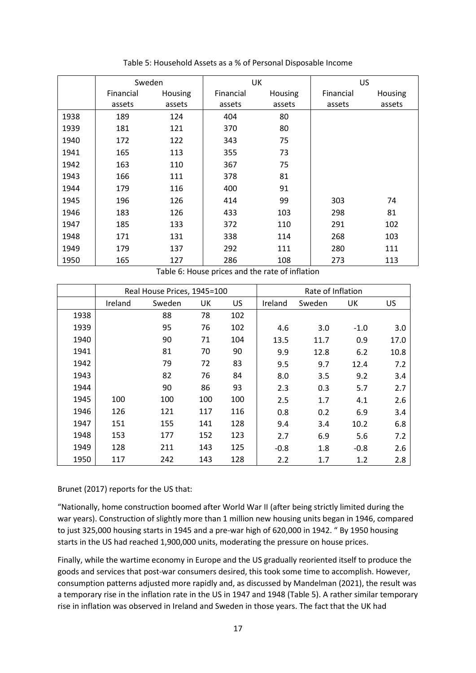|      |           | Sweden  |           | <b>UK</b>      | <b>US</b> |         |
|------|-----------|---------|-----------|----------------|-----------|---------|
|      | Financial | Housing | Financial | <b>Housing</b> | Financial | Housing |
|      | assets    | assets  | assets    | assets         | assets    | assets  |
| 1938 | 189       | 124     | 404       | 80             |           |         |
| 1939 | 181       | 121     | 370       | 80             |           |         |
| 1940 | 172       | 122     | 343       | 75             |           |         |
| 1941 | 165       | 113     | 355       | 73             |           |         |
| 1942 | 163       | 110     | 367       | 75             |           |         |
| 1943 | 166       | 111     | 378       | 81             |           |         |
| 1944 | 179       | 116     | 400       | 91             |           |         |
| 1945 | 196       | 126     | 414       | 99             | 303       | 74      |
| 1946 | 183       | 126     | 433       | 103            | 298       | 81      |
| 1947 | 185       | 133     | 372       | 110            | 291       | 102     |
| 1948 | 171       | 131     | 338       | 114            | 268       | 103     |
| 1949 | 179       | 137     | 292       | 111            | 280       | 111     |
| 1950 | 165       | 127     | 286       | 108            | 273       | 113     |

Table 5: Household Assets as a % of Personal Disposable Income

Table 6: House prices and the rate of inflation

|      |         | Real House Prices, 1945=100 |     | Rate of Inflation |         |        |        |      |
|------|---------|-----------------------------|-----|-------------------|---------|--------|--------|------|
|      | Ireland | Sweden                      | UK  | <b>US</b>         | Ireland | Sweden | UK     | US   |
| 1938 |         | 88                          | 78  | 102               |         |        |        |      |
| 1939 |         | 95                          | 76  | 102               | 4.6     | 3.0    | $-1.0$ | 3.0  |
| 1940 |         | 90                          | 71  | 104               | 13.5    | 11.7   | 0.9    | 17.0 |
| 1941 |         | 81                          | 70  | 90                | 9.9     | 12.8   | 6.2    | 10.8 |
| 1942 |         | 79                          | 72  | 83                | 9.5     | 9.7    | 12.4   | 7.2  |
| 1943 |         | 82                          | 76  | 84                | 8.0     | 3.5    | 9.2    | 3.4  |
| 1944 |         | 90                          | 86  | 93                | 2.3     | 0.3    | 5.7    | 2.7  |
| 1945 | 100     | 100                         | 100 | 100               | 2.5     | 1.7    | 4.1    | 2.6  |
| 1946 | 126     | 121                         | 117 | 116               | 0.8     | 0.2    | 6.9    | 3.4  |
| 1947 | 151     | 155                         | 141 | 128               | 9.4     | 3.4    | 10.2   | 6.8  |
| 1948 | 153     | 177                         | 152 | 123               | 2.7     | 6.9    | 5.6    | 7.2  |
| 1949 | 128     | 211                         | 143 | 125               | $-0.8$  | 1.8    | $-0.8$ | 2.6  |
| 1950 | 117     | 242                         | 143 | 128               | 2.2     | 1.7    | 1.2    | 2.8  |

Brunet (2017) reports for the US that:

"Nationally, home construction boomed after World War II (after being strictly limited during the war years). Construction of slightly more than 1 million new housing units began in 1946, compared to just 325,000 housing starts in 1945 and a pre-war high of 620,000 in 1942. " By 1950 housing starts in the US had reached 1,900,000 units, moderating the pressure on house prices.

Finally, while the wartime economy in Europe and the US gradually reoriented itself to produce the goods and services that post-war consumers desired, this took some time to accomplish. However, consumption patterns adjusted more rapidly and, as discussed by Mandelman (2021), the result was a temporary rise in the inflation rate in the US in 1947 and 1948 (Table 5). A rather similar temporary rise in inflation was observed in Ireland and Sweden in those years. The fact that the UK had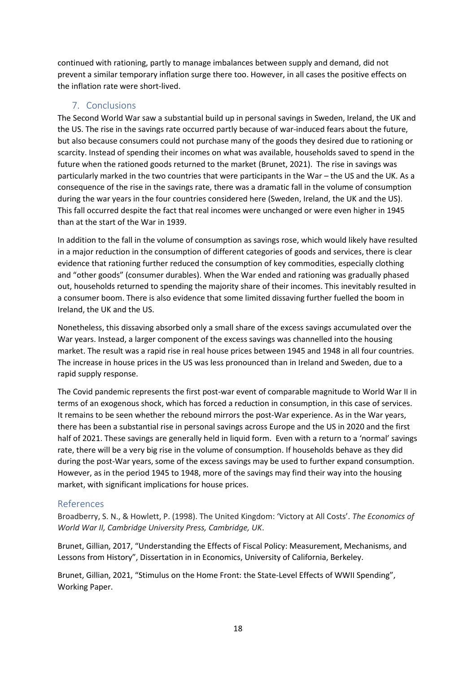continued with rationing, partly to manage imbalances between supply and demand, did not prevent a similar temporary inflation surge there too. However, in all cases the positive effects on the inflation rate were short-lived.

## 7. Conclusions

The Second World War saw a substantial build up in personal savings in Sweden, Ireland, the UK and the US. The rise in the savings rate occurred partly because of war-induced fears about the future, but also because consumers could not purchase many of the goods they desired due to rationing or scarcity. Instead of spending their incomes on what was available, households saved to spend in the future when the rationed goods returned to the market (Brunet, 2021). The rise in savings was particularly marked in the two countries that were participants in the War – the US and the UK. As a consequence of the rise in the savings rate, there was a dramatic fall in the volume of consumption during the war years in the four countries considered here (Sweden, Ireland, the UK and the US). This fall occurred despite the fact that real incomes were unchanged or were even higher in 1945 than at the start of the War in 1939.

In addition to the fall in the volume of consumption as savings rose, which would likely have resulted in a major reduction in the consumption of different categories of goods and services, there is clear evidence that rationing further reduced the consumption of key commodities, especially clothing and "other goods" (consumer durables). When the War ended and rationing was gradually phased out, households returned to spending the majority share of their incomes. This inevitably resulted in a consumer boom. There is also evidence that some limited dissaving further fuelled the boom in Ireland, the UK and the US.

Nonetheless, this dissaving absorbed only a small share of the excess savings accumulated over the War years. Instead, a larger component of the excess savings was channelled into the housing market. The result was a rapid rise in real house prices between 1945 and 1948 in all four countries. The increase in house prices in the US was less pronounced than in Ireland and Sweden, due to a rapid supply response.

The Covid pandemic represents the first post-war event of comparable magnitude to World War II in terms of an exogenous shock, which has forced a reduction in consumption, in this case of services. It remains to be seen whether the rebound mirrors the post-War experience. As in the War years, there has been a substantial rise in personal savings across Europe and the US in 2020 and the first half of 2021. These savings are generally held in liquid form. Even with a return to a 'normal' savings rate, there will be a very big rise in the volume of consumption. If households behave as they did during the post-War years, some of the excess savings may be used to further expand consumption. However, as in the period 1945 to 1948, more of the savings may find their way into the housing market, with significant implications for house prices.

# References

Broadberry, S. N., & Howlett, P. (1998). The United Kingdom: 'Victory at All Costs'. *The Economics of World War II, Cambridge University Press, Cambridge, UK*.

Brunet, Gillian, 2017, "Understanding the Effects of Fiscal Policy: Measurement, Mechanisms, and Lessons from History", Dissertation in in Economics, University of California, Berkeley.

Brunet, Gillian, 2021, "Stimulus on the Home Front: the State-Level Effects of WWII Spending", Working Paper.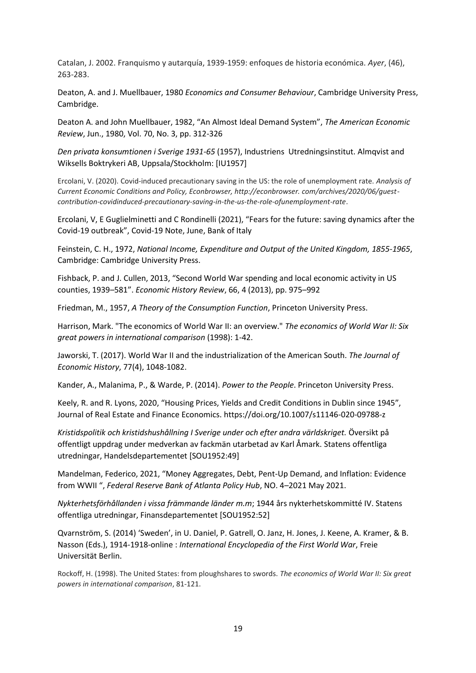Catalan, J. 2002. Franquismo y autarquía, 1939-1959: enfoques de historia económica. *Ayer*, (46), 263-283.

Deaton, A. and J. Muellbauer, 1980 *Economics and Consumer Behaviour*, Cambridge University Press, Cambridge.

Deaton A. and John Muellbauer, 1982, "An Almost Ideal Demand System", *The American Economic Review*, Jun., 1980, Vol. 70, No. 3, pp. 312-326

*Den privata konsumtionen i Sverige 1931-65* (1957), Industriens Utredningsinstitut. Almqvist and Wiksells Boktrykeri AB, Uppsala/Stockholm: [IU1957]

Ercolani, V. (2020). Covid-induced precautionary saving in the US: the role of unemployment rate. *Analysis of Current Economic Conditions and Policy, Econbrowser, http://econbrowser. com/archives/2020/06/guestcontribution-covidinduced-precautionary-saving-in-the-us-the-role-ofunemployment-rate*.

Ercolani, V, E Guglielminetti and C Rondinelli (2021), "Fears for the future: saving dynamics after the Covid-19 outbreak", Covid-19 Note, June, Bank of Italy

Feinstein, C. H., 1972, *National Income, Expenditure and Output of the United Kingdom, 1855-1965*, Cambridge: Cambridge University Press.

Fishback, P. and J. Cullen, 2013, "Second World War spending and local economic activity in US counties, 1939–581". *Economic History Review*, 66, 4 (2013), pp. 975–992

Friedman, M., 1957, *A Theory of the Consumption Function*, Princeton University Press.

Harrison, Mark. "The economics of World War II: an overview." *The economics of World War II: Six great powers in international comparison* (1998): 1-42.

Jaworski, T. (2017). World War II and the industrialization of the American South. *The Journal of Economic History*, 77(4), 1048-1082.

Kander, A., Malanima, P., & Warde, P. (2014). *Power to the People*. Princeton University Press.

Keely, R. and R. Lyons, 2020, "Housing Prices, Yields and Credit Conditions in Dublin since 1945", Journal of Real Estate and Finance Economics. https://doi.org/10.1007/s11146-020-09788-z

*Kristidspolitik och kristidshushållning I Sverige under och efter andra världskriget.* Översikt på offentligt uppdrag under medverkan av fackmän utarbetad av Karl Åmark. Statens offentliga utredningar, Handelsdepartementet [SOU1952:49]

Mandelman, Federico, 2021, "Money Aggregates, Debt, Pent-Up Demand, and Inflation: Evidence from WWII ", *Federal Reserve Bank of Atlanta Policy Hub*, NO. 4–2021 May 2021.

*Nykterhetsförhållanden i vissa främmande länder m.m*; 1944 års nykterhetskommitté IV. Statens offentliga utredningar, Finansdepartementet [SOU1952:52]

Qvarnström, S. (2014) 'Sweden', in U. Daniel, P. Gatrell, O. Janz, H. Jones, J. Keene, A. Kramer, & B. Nasson (Eds.), 1914-1918-online : *International Encyclopedia of the First World War*, Freie Universität Berlin.

Rockoff, H. (1998). The United States: from ploughshares to swords. *The economics of World War II: Six great powers in international comparison*, 81-121.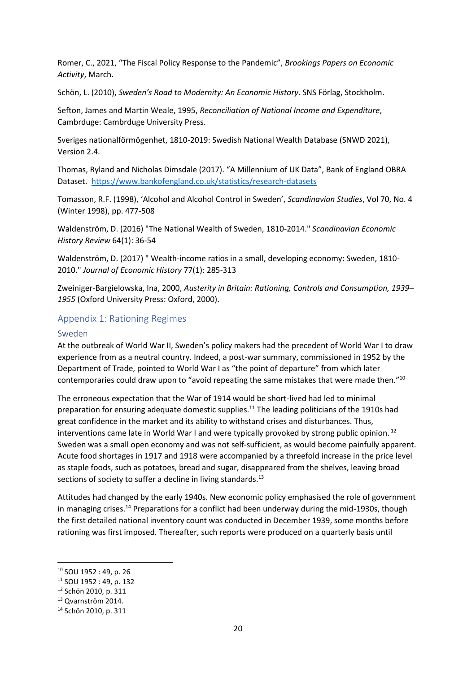Romer, C., 2021, "The Fiscal Policy Response to the Pandemic", *Brookings Papers on Economic Activity*, March.

Schön, L. (2010), *Sweden's Road to Modernity: An Economic History*. SNS Förlag, Stockholm.

Sefton, James and Martin Weale, 1995, *Reconciliation of National Income and Expenditure*, Cambrduge: Cambrduge University Press.

Sveriges nationalförmögenhet, 1810-2019: Swedish National Wealth Database (SNWD 2021), Version 2.4.

Thomas, Ryland and Nicholas Dimsdale (2017). "A Millennium of UK Data", Bank of England OBRA Dataset. <https://www.bankofengland.co.uk/statistics/research-datasets>

Tomasson, R.F. (1998), 'Alcohol and Alcohol Control in Sweden', *Scandinavian Studies*, Vol 70, No. 4 (Winter 1998), pp. 477-508

Waldenström, D. (2016) "The National Wealth of Sweden, 1810-2014." *Scandinavian Economic History Review* 64(1): 36-54

Waldenström, D. (2017) " Wealth-income ratios in a small, developing economy: Sweden, 1810- 2010." *Journal of Economic History* 77(1): 285-313

Zweiniger-Bargielowska, Ina, 2000, *Austerity in Britain: Rationing, Controls and Consumption, 1939– 1955* (Oxford University Press: Oxford, 2000).

#### Appendix 1: Rationing Regimes

#### Sweden

At the outbreak of World War II, Sweden's policy makers had the precedent of World War I to draw experience from as a neutral country. Indeed, a post-war summary, commissioned in 1952 by the Department of Trade, pointed to World War I as "the point of departure" from which later contemporaries could draw upon to "avoid repeating the same mistakes that were made then."<sup>10</sup>

The erroneous expectation that the War of 1914 would be short-lived had led to minimal preparation for ensuring adequate domestic supplies.<sup>11</sup> The leading politicians of the 1910s had great confidence in the market and its ability to withstand crises and disturbances. Thus, interventions came late in World War I and were typically provoked by strong public opinion.  $12$ Sweden was a small open economy and was not self-sufficient, as would become painfully apparent. Acute food shortages in 1917 and 1918 were accompanied by a threefold increase in the price level as staple foods, such as potatoes, bread and sugar, disappeared from the shelves, leaving broad sections of society to suffer a decline in living standards.<sup>13</sup>

Attitudes had changed by the early 1940s. New economic policy emphasised the role of government in managing crises.<sup>14</sup> Preparations for a conflict had been underway during the mid-1930s, though the first detailed national inventory count was conducted in December 1939, some months before rationing was first imposed. Thereafter, such reports were produced on a quarterly basis until

<sup>10</sup> SOU 1952 : 49, p. 26

<sup>11</sup> SOU 1952 : 49, p. 132

<sup>12</sup> Schön 2010, p. 311

<sup>13</sup> Qvarnström 2014.

<sup>14</sup> Schön 2010, p. 311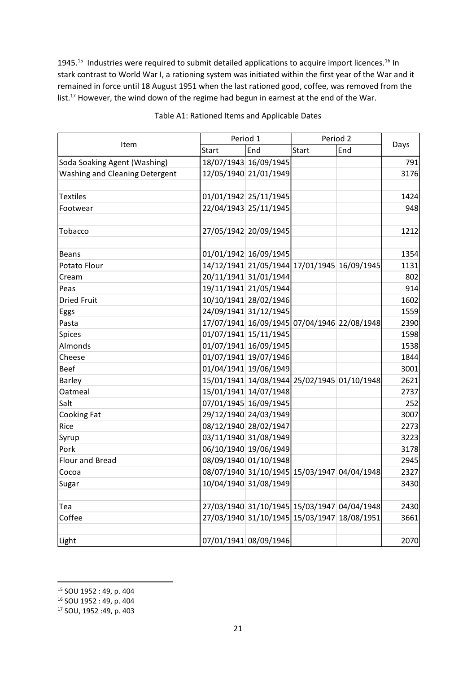1945.<sup>15</sup> Industries were required to submit detailed applications to acquire import licences.<sup>16</sup> In stark contrast to World War I, a rationing system was initiated within the first year of the War and it remained in force until 18 August 1951 when the last rationed good, coffee, was removed from the list.<sup>17</sup> However, the wind down of the regime had begun in earnest at the end of the War.

|                                       |       | Period 1                                    | Period 2     |                                             |      |
|---------------------------------------|-------|---------------------------------------------|--------------|---------------------------------------------|------|
| Item                                  | Start | End                                         | <b>Start</b> | End                                         | Days |
| Soda Soaking Agent (Washing)          |       | 18/07/1943 16/09/1945                       |              |                                             | 791  |
| <b>Washing and Cleaning Detergent</b> |       | 12/05/1940 21/01/1949                       |              |                                             | 3176 |
|                                       |       |                                             |              |                                             |      |
| <b>Textiles</b>                       |       | 01/01/1942 25/11/1945                       |              |                                             | 1424 |
| Footwear                              |       | 22/04/1943 25/11/1945                       |              |                                             | 948  |
|                                       |       |                                             |              |                                             |      |
| Tobacco                               |       | 27/05/1942 20/09/1945                       |              |                                             | 1212 |
|                                       |       |                                             |              |                                             |      |
| Beans                                 |       | 01/01/1942 16/09/1945                       |              |                                             | 1354 |
| Potato Flour                          |       | 14/12/1941 21/05/1944 17/01/1945 16/09/1945 |              |                                             | 1131 |
| Cream                                 |       | 20/11/1941 31/01/1944                       |              |                                             | 802  |
| Peas                                  |       | 19/11/1941 21/05/1944                       |              |                                             | 914  |
| <b>Dried Fruit</b>                    |       | 10/10/1941 28/02/1946                       |              |                                             | 1602 |
| Eggs                                  |       | 24/09/1941 31/12/1945                       |              |                                             | 1559 |
| Pasta                                 |       | 17/07/1941 16/09/1945 07/04/1946 22/08/1948 |              |                                             | 2390 |
| Spices                                |       | 01/07/1941 15/11/1945                       |              |                                             | 1598 |
| Almonds                               |       | 01/07/1941 16/09/1945                       |              |                                             | 1538 |
| Cheese                                |       | 01/07/1941 19/07/1946                       |              |                                             | 1844 |
| <b>Beef</b>                           |       | 01/04/1941 19/06/1949                       |              |                                             | 3001 |
| Barley                                |       | 15/01/1941 14/08/1944 25/02/1945 01/10/1948 |              |                                             | 2621 |
| Oatmeal                               |       | 15/01/1941 14/07/1948                       |              |                                             | 2737 |
| Salt                                  |       | 07/01/1945 16/09/1945                       |              |                                             | 252  |
| Cooking Fat                           |       | 29/12/1940 24/03/1949                       |              |                                             | 3007 |
| Rice                                  |       | 08/12/1940 28/02/1947                       |              |                                             | 2273 |
| Syrup                                 |       | 03/11/1940 31/08/1949                       |              |                                             | 3223 |
| Pork                                  |       | 06/10/1940 19/06/1949                       |              |                                             | 3178 |
| Flour and Bread                       |       | 08/09/1940 01/10/1948                       |              |                                             | 2945 |
| Cocoa                                 |       | 08/07/1940 31/10/1945 15/03/1947 04/04/1948 |              |                                             | 2327 |
| Sugar                                 |       | 10/04/1940 31/08/1949                       |              |                                             | 3430 |
|                                       |       |                                             |              |                                             |      |
| Tea                                   |       |                                             |              | 27/03/1940 31/10/1945 15/03/1947 04/04/1948 | 2430 |
| Coffee                                |       | 27/03/1940 31/10/1945 15/03/1947 18/08/1951 |              |                                             | 3661 |
|                                       |       |                                             |              |                                             |      |
| Light                                 |       | 07/01/1941 08/09/1946                       |              |                                             | 2070 |

#### Table A1: Rationed Items and Applicable Dates

<sup>15</sup> SOU 1952 : 49, p. 404

<sup>16</sup> SOU 1952 : 49, p. 404

<sup>17</sup> SOU, 1952 :49, p. 403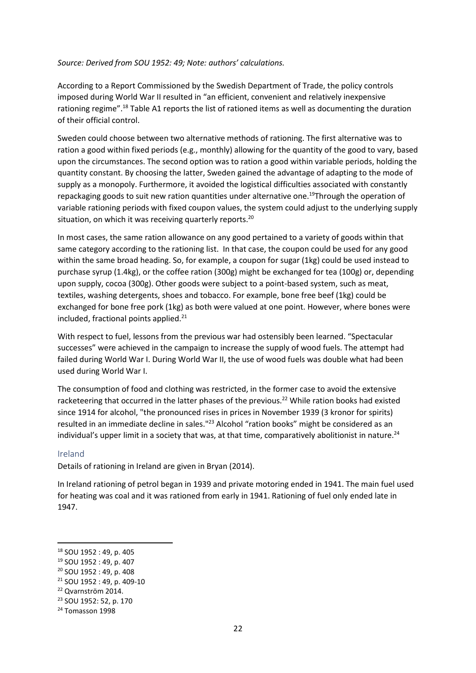#### *Source: Derived from SOU 1952: 49; Note: authors' calculations.*

According to a Report Commissioned by the Swedish Department of Trade, the policy controls imposed during World War II resulted in "an efficient, convenient and relatively inexpensive rationing regime".<sup>18</sup> Table A1 reports the list of rationed items as well as documenting the duration of their official control.

Sweden could choose between two alternative methods of rationing. The first alternative was to ration a good within fixed periods (e.g., monthly) allowing for the quantity of the good to vary, based upon the circumstances. The second option was to ration a good within variable periods, holding the quantity constant. By choosing the latter, Sweden gained the advantage of adapting to the mode of supply as a monopoly. Furthermore, it avoided the logistical difficulties associated with constantly repackaging goods to suit new ration quantities under alternative one.<sup>19</sup>Through the operation of variable rationing periods with fixed coupon values, the system could adjust to the underlying supply situation, on which it was receiving quarterly reports.<sup>20</sup>

In most cases, the same ration allowance on any good pertained to a variety of goods within that same category according to the rationing list. In that case, the coupon could be used for any good within the same broad heading. So, for example, a coupon for sugar (1kg) could be used instead to purchase syrup (1.4kg), or the coffee ration (300g) might be exchanged for tea (100g) or, depending upon supply, cocoa (300g). Other goods were subject to a point-based system, such as meat, textiles, washing detergents, shoes and tobacco. For example, bone free beef (1kg) could be exchanged for bone free pork (1kg) as both were valued at one point. However, where bones were included, fractional points applied.<sup>21</sup>

With respect to fuel, lessons from the previous war had ostensibly been learned. "Spectacular successes" were achieved in the campaign to increase the supply of wood fuels. The attempt had failed during World War I. During World War II, the use of wood fuels was double what had been used during World War I.

The consumption of food and clothing was restricted, in the former case to avoid the extensive racketeering that occurred in the latter phases of the previous.<sup>22</sup> While ration books had existed since 1914 for alcohol, "the pronounced rises in prices in November 1939 (3 kronor for spirits) resulted in an immediate decline in sales."<sup>23</sup> Alcohol "ration books" might be considered as an individual's upper limit in a society that was, at that time, comparatively abolitionist in nature.<sup>24</sup>

#### Ireland

Details of rationing in Ireland are given in Bryan (2014).

In Ireland rationing of petrol began in 1939 and private motoring ended in 1941. The main fuel used for heating was coal and it was rationed from early in 1941. Rationing of fuel only ended late in 1947.

<sup>18</sup> SOU 1952 : 49, p. 405

<sup>19</sup> SOU 1952 : 49, p. 407

<sup>20</sup> SOU 1952 : 49, p. 408

<sup>21</sup> SOU 1952 : 49, p. 409-10

<sup>22</sup> Qvarnström 2014.

<sup>23</sup> SOU 1952: 52, p. 170

<sup>&</sup>lt;sup>24</sup> Tomasson 1998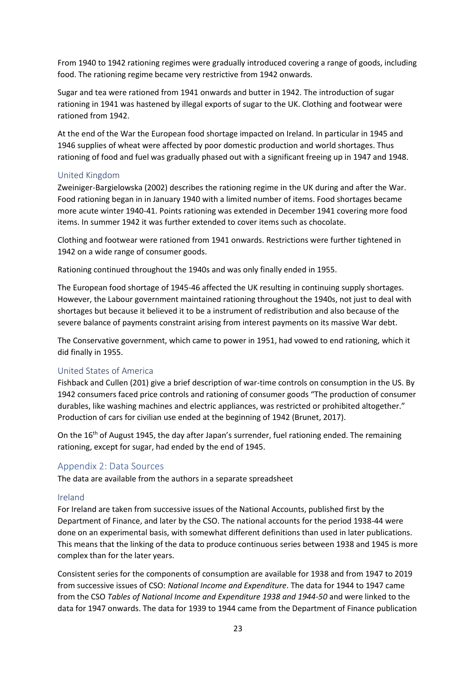From 1940 to 1942 rationing regimes were gradually introduced covering a range of goods, including food. The rationing regime became very restrictive from 1942 onwards.

Sugar and tea were rationed from 1941 onwards and butter in 1942. The introduction of sugar rationing in 1941 was hastened by illegal exports of sugar to the UK. Clothing and footwear were rationed from 1942.

At the end of the War the European food shortage impacted on Ireland. In particular in 1945 and 1946 supplies of wheat were affected by poor domestic production and world shortages. Thus rationing of food and fuel was gradually phased out with a significant freeing up in 1947 and 1948.

#### United Kingdom

Zweiniger-Bargielowska (2002) describes the rationing regime in the UK during and after the War. Food rationing began in in January 1940 with a limited number of items. Food shortages became more acute winter 1940-41. Points rationing was extended in December 1941 covering more food items. In summer 1942 it was further extended to cover items such as chocolate.

Clothing and footwear were rationed from 1941 onwards. Restrictions were further tightened in 1942 on a wide range of consumer goods.

Rationing continued throughout the 1940s and was only finally ended in 1955.

The European food shortage of 1945-46 affected the UK resulting in continuing supply shortages. However, the Labour government maintained rationing throughout the 1940s, not just to deal with shortages but because it believed it to be a instrument of redistribution and also because of the severe balance of payments constraint arising from interest payments on its massive War debt.

The Conservative government, which came to power in 1951, had vowed to end rationing, which it did finally in 1955.

#### United States of America

Fishback and Cullen (201) give a brief description of war-time controls on consumption in the US. By 1942 consumers faced price controls and rationing of consumer goods "The production of consumer durables, like washing machines and electric appliances, was restricted or prohibited altogether." Production of cars for civilian use ended at the beginning of 1942 (Brunet, 2017).

On the 16<sup>th</sup> of August 1945, the day after Japan's surrender, fuel rationing ended. The remaining rationing, except for sugar, had ended by the end of 1945.

#### Appendix 2: Data Sources

The data are available from the authors in a separate spreadsheet

#### Ireland

For Ireland are taken from successive issues of the National Accounts, published first by the Department of Finance, and later by the CSO. The national accounts for the period 1938-44 were done on an experimental basis, with somewhat different definitions than used in later publications. This means that the linking of the data to produce continuous series between 1938 and 1945 is more complex than for the later years.

Consistent series for the components of consumption are available for 1938 and from 1947 to 2019 from successive issues of CSO: *National Income and Expenditure*. The data for 1944 to 1947 came from the CSO *Tables of National Income and Expenditure 1938 and 1944-50* and were linked to the data for 1947 onwards. The data for 1939 to 1944 came from the Department of Finance publication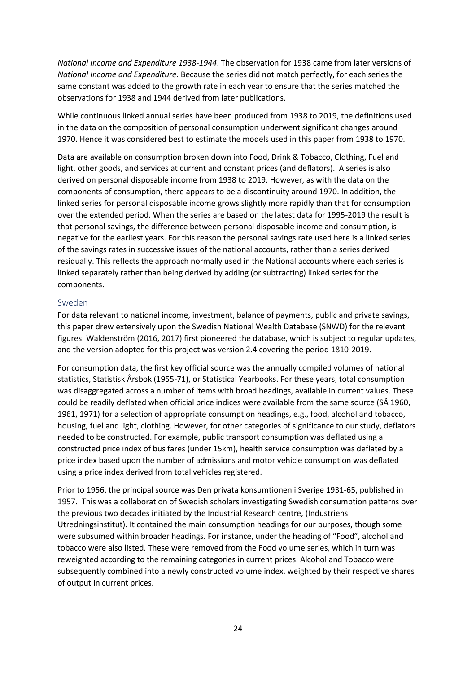*National Income and Expenditure 1938-1944*. The observation for 1938 came from later versions of *National Income and Expenditure.* Because the series did not match perfectly, for each series the same constant was added to the growth rate in each year to ensure that the series matched the observations for 1938 and 1944 derived from later publications.

While continuous linked annual series have been produced from 1938 to 2019, the definitions used in the data on the composition of personal consumption underwent significant changes around 1970. Hence it was considered best to estimate the models used in this paper from 1938 to 1970.

Data are available on consumption broken down into Food, Drink & Tobacco, Clothing, Fuel and light, other goods, and services at current and constant prices (and deflators). A series is also derived on personal disposable income from 1938 to 2019. However, as with the data on the components of consumption, there appears to be a discontinuity around 1970. In addition, the linked series for personal disposable income grows slightly more rapidly than that for consumption over the extended period. When the series are based on the latest data for 1995-2019 the result is that personal savings, the difference between personal disposable income and consumption, is negative for the earliest years. For this reason the personal savings rate used here is a linked series of the savings rates in successive issues of the national accounts, rather than a series derived residually. This reflects the approach normally used in the National accounts where each series is linked separately rather than being derived by adding (or subtracting) linked series for the components.

#### Sweden

For data relevant to national income, investment, balance of payments, public and private savings, this paper drew extensively upon the Swedish National Wealth Database (SNWD) for the relevant figures. Waldenström (2016, 2017) first pioneered the database, which is subject to regular updates, and the version adopted for this project was version 2.4 covering the period 1810-2019.

For consumption data, the first key official source was the annually compiled volumes of national statistics, Statistisk Årsbok (1955-71), or Statistical Yearbooks. For these years, total consumption was disaggregated across a number of items with broad headings, available in current values. These could be readily deflated when official price indices were available from the same source (SÅ 1960, 1961, 1971) for a selection of appropriate consumption headings, e.g., food, alcohol and tobacco, housing, fuel and light, clothing. However, for other categories of significance to our study, deflators needed to be constructed. For example, public transport consumption was deflated using a constructed price index of bus fares (under 15km), health service consumption was deflated by a price index based upon the number of admissions and motor vehicle consumption was deflated using a price index derived from total vehicles registered.

Prior to 1956, the principal source was Den privata konsumtionen i Sverige 1931-65, published in 1957. This was a collaboration of Swedish scholars investigating Swedish consumption patterns over the previous two decades initiated by the Industrial Research centre, (Industriens Utredningsinstitut). It contained the main consumption headings for our purposes, though some were subsumed within broader headings. For instance, under the heading of "Food", alcohol and tobacco were also listed. These were removed from the Food volume series, which in turn was reweighted according to the remaining categories in current prices. Alcohol and Tobacco were subsequently combined into a newly constructed volume index, weighted by their respective shares of output in current prices.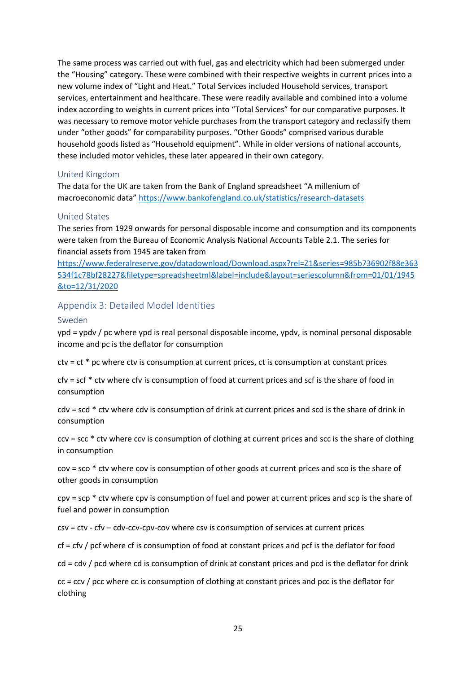The same process was carried out with fuel, gas and electricity which had been submerged under the "Housing" category. These were combined with their respective weights in current prices into a new volume index of "Light and Heat." Total Services included Household services, transport services, entertainment and healthcare. These were readily available and combined into a volume index according to weights in current prices into "Total Services" for our comparative purposes. It was necessary to remove motor vehicle purchases from the transport category and reclassify them under "other goods" for comparability purposes. "Other Goods" comprised various durable household goods listed as "Household equipment". While in older versions of national accounts, these included motor vehicles, these later appeared in their own category.

#### United Kingdom

The data for the UK are taken from the Bank of England spreadsheet "A millenium of macroeconomic data" <https://www.bankofengland.co.uk/statistics/research-datasets>

#### United States

The series from 1929 onwards for personal disposable income and consumption and its components were taken from the Bureau of Economic Analysis National Accounts Table 2.1. The series for financial assets from 1945 are taken from

[https://www.federalreserve.gov/datadownload/Download.aspx?rel=Z1&series=985b736902f88e363](https://www.federalreserve.gov/datadownload/Download.aspx?rel=Z1&series=985b736902f88e363534f1c78bf28227&filetype=spreadsheetml&label=include&layout=seriescolumn&from=01/01/1945&to=12/31/2020) [534f1c78bf28227&filetype=spreadsheetml&label=include&layout=seriescolumn&from=01/01/1945](https://www.federalreserve.gov/datadownload/Download.aspx?rel=Z1&series=985b736902f88e363534f1c78bf28227&filetype=spreadsheetml&label=include&layout=seriescolumn&from=01/01/1945&to=12/31/2020) [&to=12/31/2020](https://www.federalreserve.gov/datadownload/Download.aspx?rel=Z1&series=985b736902f88e363534f1c78bf28227&filetype=spreadsheetml&label=include&layout=seriescolumn&from=01/01/1945&to=12/31/2020)

#### Appendix 3: Detailed Model Identities

#### Sweden

ypd = ypdv / pc where ypd is real personal disposable income, ypdv, is nominal personal disposable income and pc is the deflator for consumption

ctv = ct \* pc where ctv is consumption at current prices, ct is consumption at constant prices

cfv = scf \* ctv where cfv is consumption of food at current prices and scf is the share of food in consumption

cdv = scd \* ctv where cdv is consumption of drink at current prices and scd is the share of drink in consumption

ccv = scc \* ctv where ccv is consumption of clothing at current prices and scc is the share of clothing in consumption

cov = sco \* ctv where cov is consumption of other goods at current prices and sco is the share of other goods in consumption

 $cpv = scp * ctv$  where  $cpv$  is consumption of fuel and power at current prices and  $scp$  is the share of fuel and power in consumption

csv = ctv - cfv – cdv-ccv-cpv-cov where csv is consumption of services at current prices

cf = cfv / pcf where cf is consumption of food at constant prices and pcf is the deflator for food

cd = cdv / pcd where cd is consumption of drink at constant prices and pcd is the deflator for drink

cc = ccv / pcc where cc is consumption of clothing at constant prices and pcc is the deflator for clothing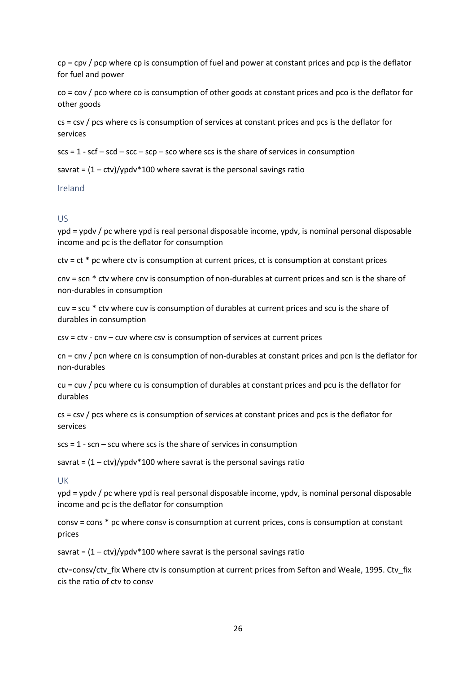$cp = cpv / pcp$  where  $cp$  is consumption of fuel and power at constant prices and  $pcp$  is the deflator for fuel and power

co = cov / pco where co is consumption of other goods at constant prices and pco is the deflator for other goods

cs = csv / pcs where cs is consumption of services at constant prices and pcs is the deflator for services

 $scs = 1 - scf - scd - scc - scp - sco$  where scs is the share of services in consumption

savrat =  $(1 - ctv)/y$  pdv\*100 where savrat is the personal savings ratio

Ireland

#### US

ypd = ypdv / pc where ypd is real personal disposable income, ypdv, is nominal personal disposable income and pc is the deflator for consumption

ctv = ct \* pc where ctv is consumption at current prices, ct is consumption at constant prices

cnv = scn \* ctv where cnv is consumption of non-durables at current prices and scn is the share of non-durables in consumption

cuv = scu \* ctv where cuv is consumption of durables at current prices and scu is the share of durables in consumption

csv = ctv - cnv – cuv where csv is consumption of services at current prices

cn = cnv / pcn where cn is consumption of non-durables at constant prices and pcn is the deflator for non-durables

cu = cuv / pcu where cu is consumption of durables at constant prices and pcu is the deflator for durables

cs = csv / pcs where cs is consumption of services at constant prices and pcs is the deflator for services

 $scs = 1 - scn - scu$  where scs is the share of services in consumption

savrat =  $(1 - ctv)/y$  pdv\*100 where savrat is the personal savings ratio

UK

ypd = ypdv / pc where ypd is real personal disposable income, ypdv, is nominal personal disposable income and pc is the deflator for consumption

consv = cons \* pc where consv is consumption at current prices, cons is consumption at constant prices

savrat =  $(1 - ctv)/y$  pdv\*100 where savrat is the personal savings ratio

ctv=consv/ctv\_fix Where ctv is consumption at current prices from Sefton and Weale, 1995. Ctv\_fix cis the ratio of ctv to consv